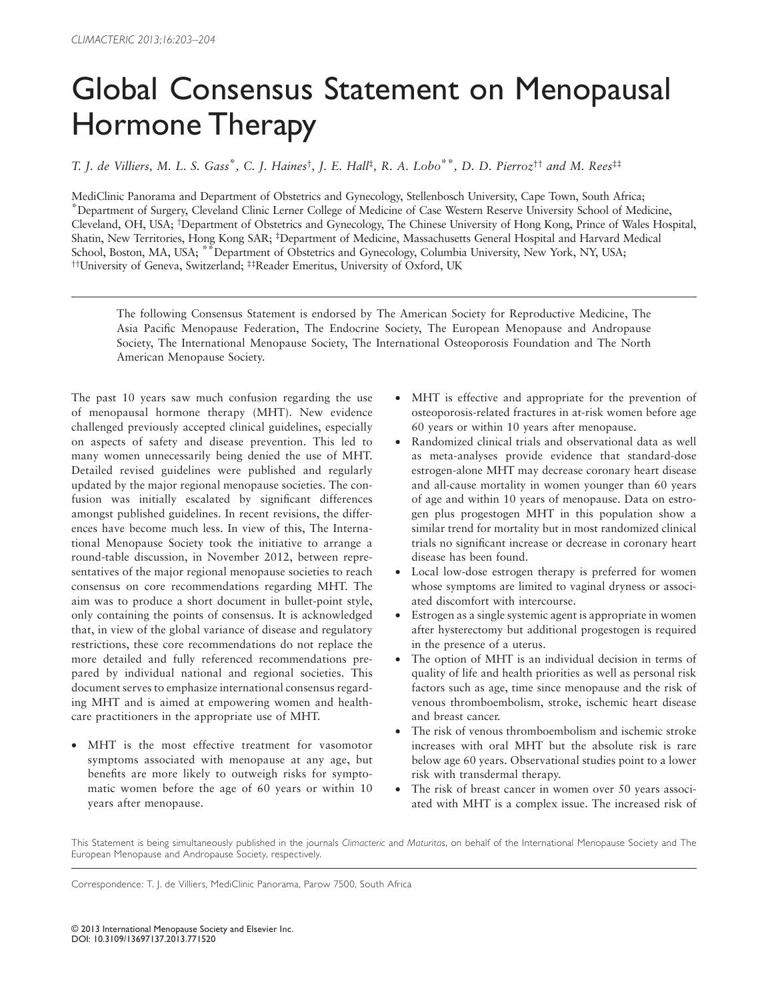## Global Consensus Statement on Menopausal Hormone Therapy

*T. J. de Villiers , M. L. S. Gass* \**, C. J. Haines* † *, J. E. Hall* ‡ *, R. A. Lobo* \*\**, D. D. Pierroz* † † *and M. Rees* ‡ ‡

MediClinic Panorama and Department of Obstetrics and Gynecology, Stellenbosch University, Cape Town, South Africa; \*Department of Surgery, Cleveland Clinic Lerner College of Medicine of Case Western Reserve University School of Medicine, Cleveland, OH, USA; † Department of Obstetrics and Gynecology, The Chinese University of Hong Kong, Prince of Wales Hospital, Shatin, New Territories, Hong Kong SAR; ‡ Department of Medicine, Massachusetts General Hospital and Harvard Medical School, Boston, MA, USA; \*\*Department of Obstetrics and Gynecology, Columbia University, New York, NY, USA; † † University of Geneva, Switzerland; ‡ ‡ Reader Emeritus, University of Oxford, UK

The following Consensus Statement is endorsed by The American Society for Reproductive Medicine, The Asia Pacifi c Menopause Federation, The Endocrine Society, The European Menopause and Andropause Society, The International Menopause Society, The International Osteoporosis Foundation and The North American Menopause Society.

The past 10 years saw much confusion regarding the use of menopausal hormone therapy (MHT). New evidence challenged previously accepted clinical guidelines, especially on aspects of safety and disease prevention. This led to many women unnecessarily being denied the use of MHT. Detailed revised guidelines were published and regularly updated by the major regional menopause societies. The confusion was initially escalated by significant differences amongst published guidelines. In recent revisions, the differences have become much less. In view of this, The International Menopause Society took the initiative to arrange a round-table discussion, in November 2012, between representatives of the major regional menopause societies to reach consensus on core recommendations regarding MHT. The aim was to produce a short document in bullet-point style, only containing the points of consensus. It is acknowledged that, in view of the global variance of disease and regulatory restrictions, these core recommendations do not replace the more detailed and fully referenced recommendations prepared by individual national and regional societies. This document serves to emphasize international consensus regarding MHT and is aimed at empowering women and healthcare practitioners in the appropriate use of MHT.

• MHT is the most effective treatment for vasomotor symptoms associated with menopause at any age, but benefits are more likely to outweigh risks for symptomatic women before the age of 60 years or within 10 years after menopause.

- MHT is effective and appropriate for the prevention of osteoporosis-related fractures in at-risk women before age 60 years or within 10 years after menopause.
- Randomized clinical trials and observational data as well as meta-analyses provide evidence that standard-dose estrogen-alone MHT may decrease coronary heart disease and all-cause mortality in women younger than 60 years of age and within 10 years of menopause. Data on estrogen plus progestogen MHT in this population show a similar trend for mortality but in most randomized clinical trials no significant increase or decrease in coronary heart disease has been found.
- Local low-dose estrogen therapy is preferred for women whose symptoms are limited to vaginal dryness or associated discomfort with intercourse.
- Estrogen as a single systemic agent is appropriate in women after hysterectomy but additional progestogen is required in the presence of a uterus.
- The option of MHT is an individual decision in terms of quality of life and health priorities as well as personal risk factors such as age, time since menopause and the risk of venous thromboembolism, stroke, ischemic heart disease and breast cancer.
- The risk of venous thromboembolism and ischemic stroke increases with oral MHT but the absolute risk is rare below age 60 years. Observational studies point to a lower risk with transdermal therapy.
- The risk of breast cancer in women over 50 years associated with MHT is a complex issue. The increased risk of

This Statement is being simultaneously published in the journals *Climacteric* and *Maturitas*, on behalf of the International Menopause Society and The European Menopause and Andropause Society, respectively.

Correspondence: T. J. de Villiers, MediClinic Panorama, Parow 7500, South Africa